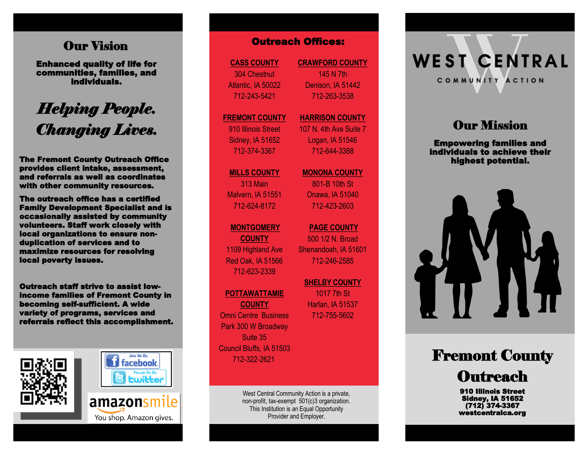### Our Vision

Enhanced quality of life for communities, families, and individuals.

# *Helping People. Changing Lives.*

The Fremont County Outreach Office provides client intake, assessment, and referrals as well as coordinates with other community resources.

The outreach office has a certified Family Development Specialist and is occasionally assisted by community volunteers. Staff work closely with local organizations to ensure nonduplication of services and to maximize resources for resolving local poverty issues.

Outreach staff strive to assist lowincome families of Fremont County in becoming self-sufficient. A wide variety of programs, services and referrals reflect this accomplishment.





You shop. Amazon gives.

**CASS COUNTY** 304 Chestnut Atlantic, IA 50022 712 -243 -5421

### **FREMONT COUNTY**

910 Illinois Street Sidney, IA 51652 712 -374 -3367

**MILLS COUNTY** 313 Main Malvern, IA 51551

### **MONTGOMERY**

712 -624 -8172

**COUNTY** 1109 Highland Ave Red Oak, IA 51566 712 -623 -2339

#### **POTTAWATTAMIE**

**COUNTY** Omni Centre Business Park 300 W Broadway Suite 35 Council Bluffs, IA 51503 712 -322 -2621

> West Central Community Action is a private, non -profit, tax -exempt 501(c)3 organization. This Institution is an Equal Opportunity Provider and Employer.

**CRAWFORD COUNTY** 145 N 7th Denison, IA 51442 712 -263 -3538

#### **HARRISON COUNTY** 107 N. 4th Ave Suite 7

Logan, IA 51546 712 -644 -3388

**MONONA COUNTY**

801 -B 10th St Onawa, IA 51040 712 -423 -2603

**PAGE COUNTY**  500 1/2 N. Broad Shenandoah, IA 51601 712 -246 -2585 **COUNTY CRAWFORD COUNTY**<br>
Chestnut 145 N 7th<br>
145 N 7th<br>
145 N 7th<br>
145 N 7th<br>
145 N 7th<br>
145 N 7th<br>
145 N 7th<br>
145 N 7th<br>
145 N 7th<br>
172-263-3538<br>
NT COUNTY MARRISON COUI<br>
107 N. 4th Ave Su<br>
107 N. 4th Ave Su<br>
107 N. 4th

1017 7th St Harlan, IA 51537

# **WEST CENTRAL** COMMUNITY ACTION

# **Our Mission**

Empowering families and individuals to achieve their highest potential.



# Fremont County **Outreach**

910 Illinois Street Sidney, IA 51652 (712) 374-3367 westcentralca.org

**SHELBY COUNTY**  712 -755